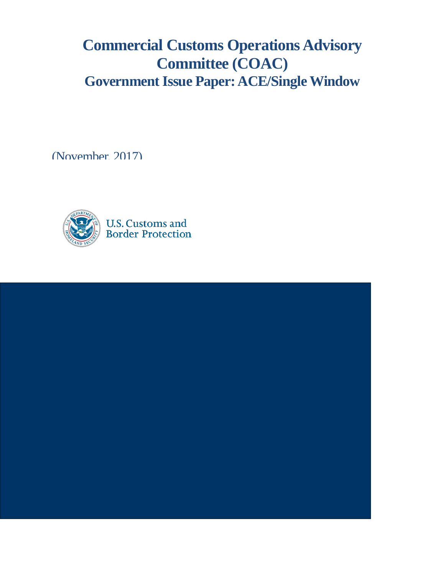# **Commercial Customs Operations Advisory Committee (COAC) Government Issue Paper: ACE/Single Window**

(November, 2017)



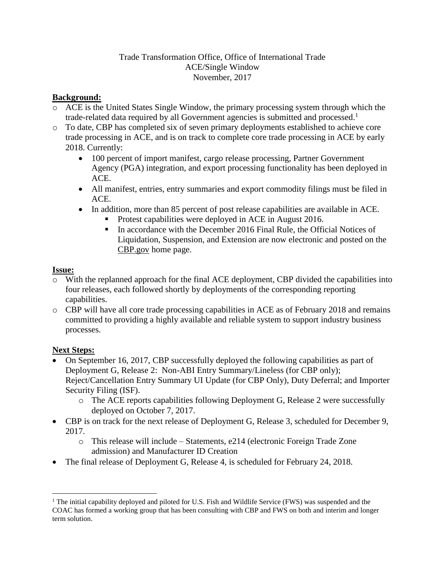### Trade Transformation Office, Office of International Trade ACE/Single Window November, 2017

### **Background:**

- o ACE is the United States Single Window, the primary processing system through which the trade-related data required by all Government agencies is submitted and processed.<sup>1</sup>
- o To date, CBP has completed six of seven primary deployments established to achieve core trade processing in ACE, and is on track to complete core trade processing in ACE by early 2018. Currently:
	- 100 percent of import manifest, cargo release processing, Partner Government Agency (PGA) integration, and export processing functionality has been deployed in ACE.
	- All manifest, entries, entry summaries and export commodity filings must be filed in ACE.
	- In addition, more than 85 percent of post release capabilities are available in ACE.
		- **Protest capabilities were deployed in ACE in August 2016.**
		- In accordance with the December 2016 Final Rule, the Official Notices of Liquidation, Suspension, and Extension are now electronic and posted on the CBP.gov home page.

## **Issue:**

- With the replanned approach for the final ACE deployment, CBP divided the capabilities into four releases, each followed shortly by deployments of the corresponding reporting capabilities.
- o CBP will have all core trade processing capabilities in ACE as of February 2018 and remains committed to providing a highly available and reliable system to support industry business processes.

## **Next Steps:**

- On September 16, 2017, CBP successfully deployed the following capabilities as part of Deployment G, Release 2: Non-ABI Entry Summary/Lineless (for CBP only); Reject/Cancellation Entry Summary UI Update (for CBP Only), Duty Deferral; and Importer Security Filing (ISF).
	- o The ACE reports capabilities following Deployment G, Release 2 were successfully deployed on October 7, 2017.
- CBP is on track for the next release of Deployment G, Release 3, scheduled for December 9, 2017.
	- o This release will include Statements, e214 (electronic Foreign Trade Zone admission) and Manufacturer ID Creation
- The final release of Deployment G, Release 4, is scheduled for February 24, 2018.

 $\overline{a}$ <sup>1</sup> The initial capability deployed and piloted for U.S. Fish and Wildlife Service (FWS) was suspended and the COAC has formed a working group that has been consulting with CBP and FWS on both and interim and longer term solution.